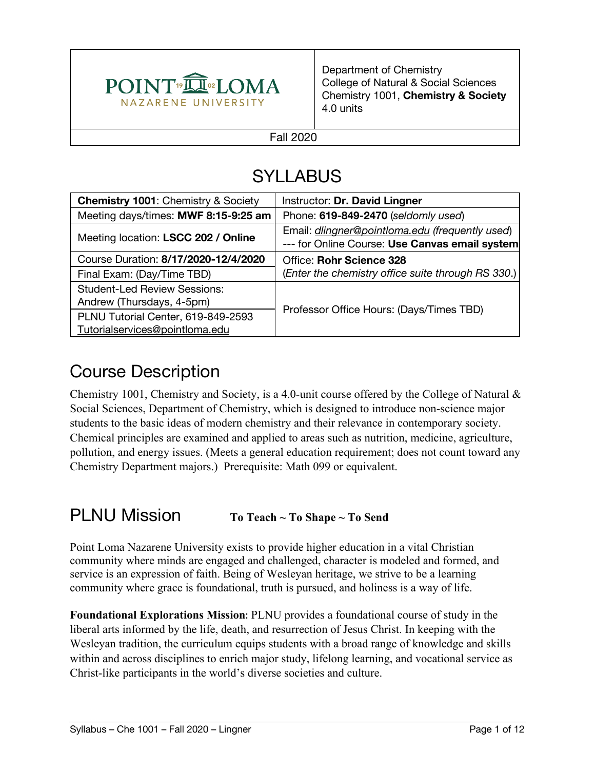

Department of Chemistry College of Natural & Social Sciences Chemistry 1001, **Chemistry & Society** 4.0 units

#### Fall 2020

# SYLLABUS

| <b>Chemistry 1001: Chemistry &amp; Society</b>                       | Instructor: Dr. David Lingner                                                                     |  |
|----------------------------------------------------------------------|---------------------------------------------------------------------------------------------------|--|
| Meeting days/times: MWF 8:15-9:25 am                                 | Phone: 619-849-2470 (seldomly used)                                                               |  |
| Meeting location: LSCC 202 / Online                                  | Email: dlingner@pointloma.edu (frequently used)<br>--- for Online Course: Use Canvas email system |  |
| Course Duration: 8/17/2020-12/4/2020                                 | Office: Rohr Science 328                                                                          |  |
| Final Exam: (Day/Time TBD)                                           | (Enter the chemistry office suite through RS 330.)                                                |  |
| <b>Student-Led Review Sessions:</b><br>Andrew (Thursdays, 4-5pm)     |                                                                                                   |  |
| PLNU Tutorial Center, 619-849-2593<br>Tutorialservices@pointloma.edu | Professor Office Hours: (Days/Times TBD)                                                          |  |

#### Course Description

Chemistry 1001, Chemistry and Society, is a 4.0-unit course offered by the College of Natural & Social Sciences, Department of Chemistry, which is designed to introduce non-science major students to the basic ideas of modern chemistry and their relevance in contemporary society. Chemical principles are examined and applied to areas such as nutrition, medicine, agriculture, pollution, and energy issues. (Meets a general education requirement; does not count toward any Chemistry Department majors.) Prerequisite: Math 099 or equivalent.

#### PLNU Mission **To Teach ~ To Shape ~ To Send**

Point Loma Nazarene University exists to provide higher education in a vital Christian community where minds are engaged and challenged, character is modeled and formed, and service is an expression of faith. Being of Wesleyan heritage, we strive to be a learning community where grace is foundational, truth is pursued, and holiness is a way of life.

**Foundational Explorations Mission:** PLNU provides a foundational course of study in the liberal arts informed by the life, death, and resurrection of Jesus Christ. In keeping with the Wesleyan tradition, the curriculum equips students with a broad range of knowledge and skills within and across disciplines to enrich major study, lifelong learning, and vocational service as Christ-like participants in the world's diverse societies and culture.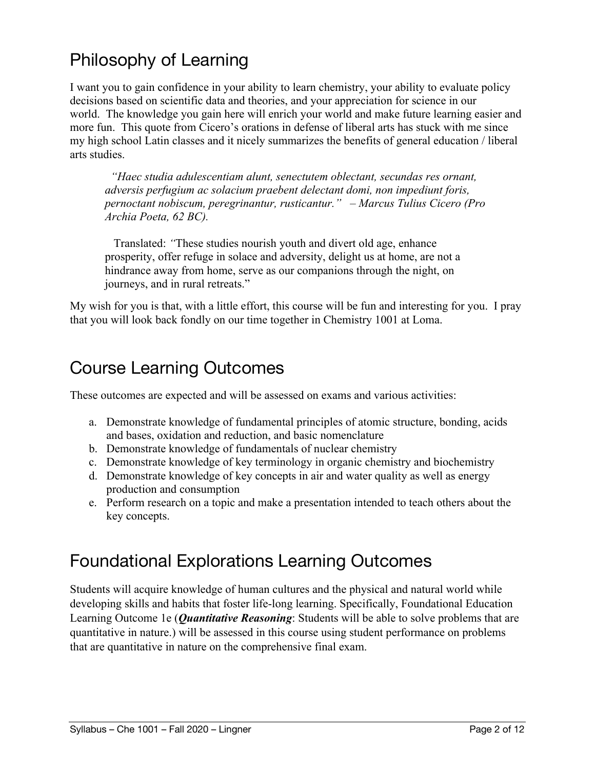## Philosophy of Learning

I want you to gain confidence in your ability to learn chemistry, your ability to evaluate policy decisions based on scientific data and theories, and your appreciation for science in our world. The knowledge you gain here will enrich your world and make future learning easier and more fun. This quote from Cicero's orations in defense of liberal arts has stuck with me since my high school Latin classes and it nicely summarizes the benefits of general education / liberal arts studies.

 *"Haec studia adulescentiam alunt, senectutem oblectant, secundas res ornant, adversis perfugium ac solacium praebent delectant domi, non impediunt foris, pernoctant nobiscum, peregrinantur, rusticantur." – Marcus Tulius Cicero (Pro Archia Poeta, 62 BC).*

 Translated: *"*These studies nourish youth and divert old age, enhance prosperity, offer refuge in solace and adversity, delight us at home, are not a hindrance away from home, serve as our companions through the night, on journeys, and in rural retreats."

My wish for you is that, with a little effort, this course will be fun and interesting for you. I pray that you will look back fondly on our time together in Chemistry 1001 at Loma.

#### Course Learning Outcomes

These outcomes are expected and will be assessed on exams and various activities:

- a. Demonstrate knowledge of fundamental principles of atomic structure, bonding, acids and bases, oxidation and reduction, and basic nomenclature
- b. Demonstrate knowledge of fundamentals of nuclear chemistry
- c. Demonstrate knowledge of key terminology in organic chemistry and biochemistry
- d. Demonstrate knowledge of key concepts in air and water quality as well as energy production and consumption
- e. Perform research on a topic and make a presentation intended to teach others about the key concepts.

#### Foundational Explorations Learning Outcomes

Students will acquire knowledge of human cultures and the physical and natural world while developing skills and habits that foster life-long learning. Specifically, Foundational Education Learning Outcome 1e (*Quantitative Reasoning*: Students will be able to solve problems that are quantitative in nature.) will be assessed in this course using student performance on problems that are quantitative in nature on the comprehensive final exam.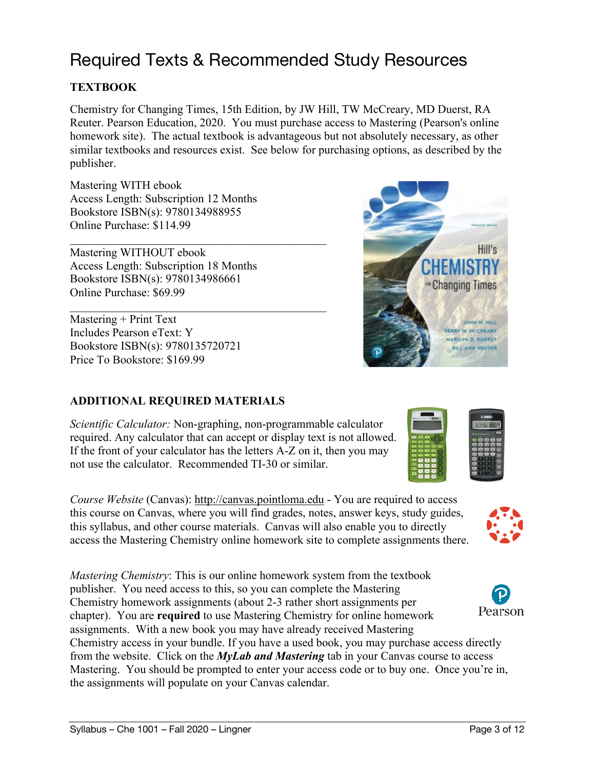### Required Texts & Recommended Study Resources

#### **TEXTBOOK**

Chemistry for Changing Times, 15th Edition, by JW Hill, TW McCreary, MD Duerst, RA Reuter. Pearson Education, 2020. You must purchase access to Mastering (Pearson's online homework site). The actual textbook is advantageous but not absolutely necessary, as other similar textbooks and resources exist. See below for purchasing options, as described by the publisher.

Mastering WITH ebook Access Length: Subscription 12 Months Bookstore ISBN(s): 9780134988955 Online Purchase: \$114.99

Mastering WITHOUT ebook Access Length: Subscription 18 Months Bookstore ISBN(s): 9780134986661 Online Purchase: \$69.99

Mastering + Print Text Includes Pearson eText: Y Bookstore ISBN(s): 9780135720721 Price To Bookstore: \$169.99

#### **ADDITIONAL REQUIRED MATERIALS**

*Scientific Calculator:* Non-graphing, non-programmable calculator required. Any calculator that can accept or display text is not allowed. If the front of your calculator has the letters A-Z on it, then you may not use the calculator. Recommended TI-30 or similar.

*Course Website* (Canvas): http://canvas.pointloma.edu - You are required to access this course on Canvas, where you will find grades, notes, answer keys, study guides, this syllabus, and other course materials. Canvas will also enable you to directly access the Mastering Chemistry online homework site to complete assignments there.

*Mastering Chemistry*: This is our online homework system from the textbook publisher. You need access to this, so you can complete the Mastering Chemistry homework assignments (about 2-3 rather short assignments per chapter). You are **required** to use Mastering Chemistry for online homework assignments. With a new book you may have already received Mastering Chemistry access in your bundle. If you have a used book, you may purchase access directly from the website. Click on the *MyLab and Mastering* tab in your Canvas course to access Mastering. You should be prompted to enter your access code or to buy one. Once you're in, the assignments will populate on your Canvas calendar.





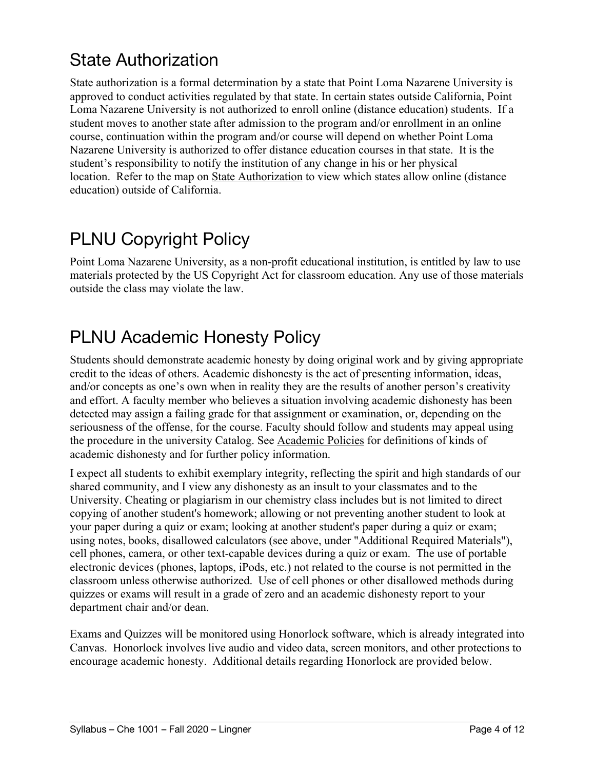## State Authorization

State authorization is a formal determination by a state that Point Loma Nazarene University is approved to conduct activities regulated by that state. In certain states outside California, Point Loma Nazarene University is not authorized to enroll online (distance education) students. If a student moves to another state after admission to the program and/or enrollment in an online course, continuation within the program and/or course will depend on whether Point Loma Nazarene University is authorized to offer distance education courses in that state. It is the student's responsibility to notify the institution of any change in his or her physical location. Refer to the map on State Authorization to view which states allow online (distance education) outside of California.

## PLNU Copyright Policy

Point Loma Nazarene University, as a non-profit educational institution, is entitled by law to use materials protected by the US Copyright Act for classroom education. Any use of those materials outside the class may violate the law.

### PLNU Academic Honesty Policy

Students should demonstrate academic honesty by doing original work and by giving appropriate credit to the ideas of others. Academic dishonesty is the act of presenting information, ideas, and/or concepts as one's own when in reality they are the results of another person's creativity and effort. A faculty member who believes a situation involving academic dishonesty has been detected may assign a failing grade for that assignment or examination, or, depending on the seriousness of the offense, for the course. Faculty should follow and students may appeal using the procedure in the university Catalog. See Academic Policies for definitions of kinds of academic dishonesty and for further policy information.

I expect all students to exhibit exemplary integrity, reflecting the spirit and high standards of our shared community, and I view any dishonesty as an insult to your classmates and to the University. Cheating or plagiarism in our chemistry class includes but is not limited to direct copying of another student's homework; allowing or not preventing another student to look at your paper during a quiz or exam; looking at another student's paper during a quiz or exam; using notes, books, disallowed calculators (see above, under "Additional Required Materials"), cell phones, camera, or other text-capable devices during a quiz or exam. The use of portable electronic devices (phones, laptops, iPods, etc.) not related to the course is not permitted in the classroom unless otherwise authorized. Use of cell phones or other disallowed methods during quizzes or exams will result in a grade of zero and an academic dishonesty report to your department chair and/or dean.

Exams and Quizzes will be monitored using Honorlock software, which is already integrated into Canvas. Honorlock involves live audio and video data, screen monitors, and other protections to encourage academic honesty. Additional details regarding Honorlock are provided below.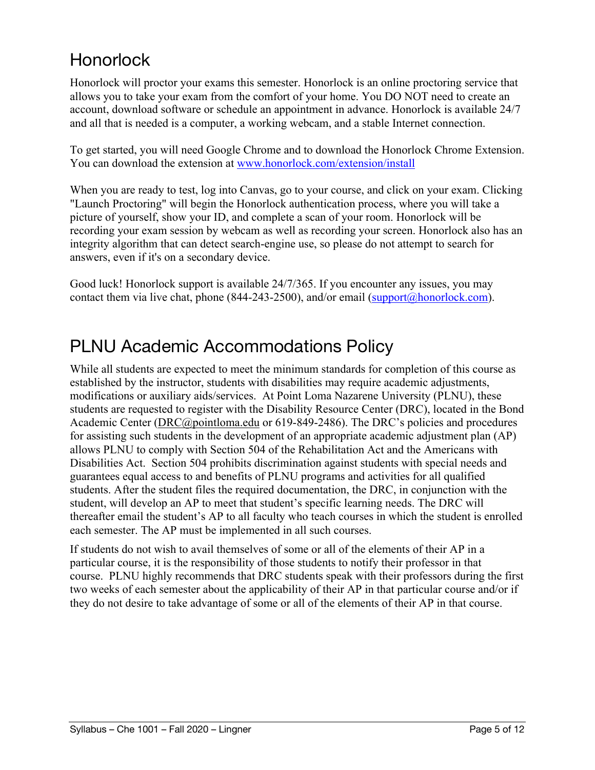## **Honorlock**

Honorlock will proctor your exams this semester. Honorlock is an online proctoring service that allows you to take your exam from the comfort of your home. You DO NOT need to create an account, download software or schedule an appointment in advance. Honorlock is available 24/7 and all that is needed is a computer, a working webcam, and a stable Internet connection.

To get started, you will need Google Chrome and to download the Honorlock Chrome Extension. You can download the extension at www.honorlock.com/extension/install

When you are ready to test, log into Canvas, go to your course, and click on your exam. Clicking "Launch Proctoring" will begin the Honorlock authentication process, where you will take a picture of yourself, show your ID, and complete a scan of your room. Honorlock will be recording your exam session by webcam as well as recording your screen. Honorlock also has an integrity algorithm that can detect search-engine use, so please do not attempt to search for answers, even if it's on a secondary device.

Good luck! Honorlock support is available 24/7/365. If you encounter any issues, you may contact them via live chat, phone (844-243-2500), and/or email (support@honorlock.com).

#### PLNU Academic Accommodations Policy

While all students are expected to meet the minimum standards for completion of this course as established by the instructor, students with disabilities may require academic adjustments, modifications or auxiliary aids/services. At Point Loma Nazarene University (PLNU), these students are requested to register with the Disability Resource Center (DRC), located in the Bond Academic Center (DRC@pointloma.edu or 619-849-2486). The DRC's policies and procedures for assisting such students in the development of an appropriate academic adjustment plan (AP) allows PLNU to comply with Section 504 of the Rehabilitation Act and the Americans with Disabilities Act. Section 504 prohibits discrimination against students with special needs and guarantees equal access to and benefits of PLNU programs and activities for all qualified students. After the student files the required documentation, the DRC, in conjunction with the student, will develop an AP to meet that student's specific learning needs. The DRC will thereafter email the student's AP to all faculty who teach courses in which the student is enrolled each semester. The AP must be implemented in all such courses.

If students do not wish to avail themselves of some or all of the elements of their AP in a particular course, it is the responsibility of those students to notify their professor in that course. PLNU highly recommends that DRC students speak with their professors during the first two weeks of each semester about the applicability of their AP in that particular course and/or if they do not desire to take advantage of some or all of the elements of their AP in that course.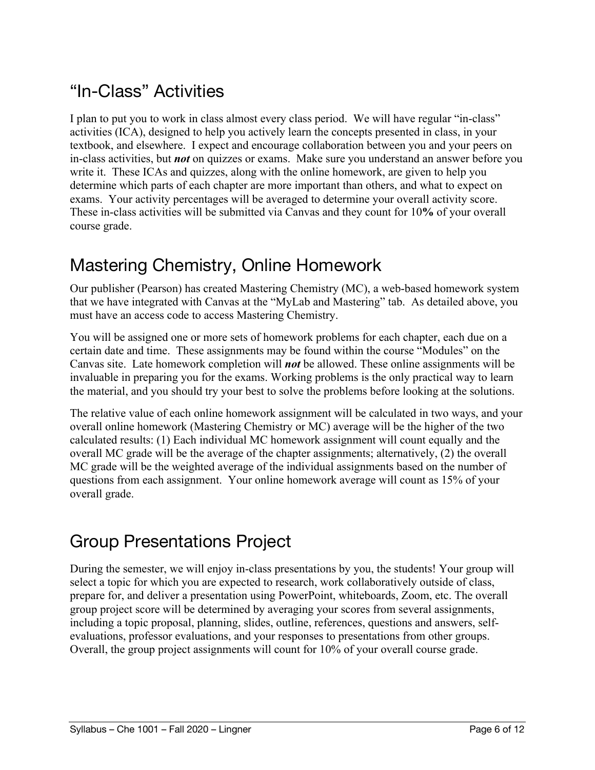## "In-Class" Activities

I plan to put you to work in class almost every class period. We will have regular "in-class" activities (ICA), designed to help you actively learn the concepts presented in class, in your textbook, and elsewhere. I expect and encourage collaboration between you and your peers on in-class activities, but *not* on quizzes or exams. Make sure you understand an answer before you write it. These ICAs and quizzes, along with the online homework, are given to help you determine which parts of each chapter are more important than others, and what to expect on exams. Your activity percentages will be averaged to determine your overall activity score. These in-class activities will be submitted via Canvas and they count for 10**%** of your overall course grade.

### Mastering Chemistry, Online Homework

Our publisher (Pearson) has created Mastering Chemistry (MC), a web-based homework system that we have integrated with Canvas at the "MyLab and Mastering" tab. As detailed above, you must have an access code to access Mastering Chemistry.

You will be assigned one or more sets of homework problems for each chapter, each due on a certain date and time. These assignments may be found within the course "Modules" on the Canvas site. Late homework completion will *not* be allowed. These online assignments will be invaluable in preparing you for the exams. Working problems is the only practical way to learn the material, and you should try your best to solve the problems before looking at the solutions.

The relative value of each online homework assignment will be calculated in two ways, and your overall online homework (Mastering Chemistry or MC) average will be the higher of the two calculated results: (1) Each individual MC homework assignment will count equally and the overall MC grade will be the average of the chapter assignments; alternatively, (2) the overall MC grade will be the weighted average of the individual assignments based on the number of questions from each assignment. Your online homework average will count as 15% of your overall grade.

### Group Presentations Project

During the semester, we will enjoy in-class presentations by you, the students! Your group will select a topic for which you are expected to research, work collaboratively outside of class, prepare for, and deliver a presentation using PowerPoint, whiteboards, Zoom, etc. The overall group project score will be determined by averaging your scores from several assignments, including a topic proposal, planning, slides, outline, references, questions and answers, selfevaluations, professor evaluations, and your responses to presentations from other groups. Overall, the group project assignments will count for 10% of your overall course grade.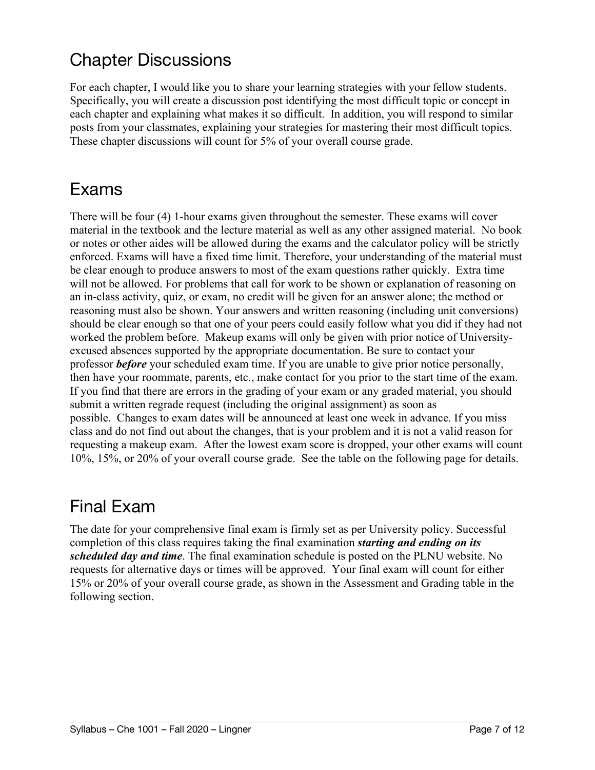## Chapter Discussions

For each chapter, I would like you to share your learning strategies with your fellow students. Specifically, you will create a discussion post identifying the most difficult topic or concept in each chapter and explaining what makes it so difficult. In addition, you will respond to similar posts from your classmates, explaining your strategies for mastering their most difficult topics. These chapter discussions will count for 5% of your overall course grade.

#### Exams

There will be four (4) 1-hour exams given throughout the semester. These exams will cover material in the textbook and the lecture material as well as any other assigned material. No book or notes or other aides will be allowed during the exams and the calculator policy will be strictly enforced. Exams will have a fixed time limit. Therefore, your understanding of the material must be clear enough to produce answers to most of the exam questions rather quickly. Extra time will not be allowed. For problems that call for work to be shown or explanation of reasoning on an in-class activity, quiz, or exam, no credit will be given for an answer alone; the method or reasoning must also be shown. Your answers and written reasoning (including unit conversions) should be clear enough so that one of your peers could easily follow what you did if they had not worked the problem before. Makeup exams will only be given with prior notice of Universityexcused absences supported by the appropriate documentation. Be sure to contact your professor *before* your scheduled exam time. If you are unable to give prior notice personally, then have your roommate, parents, etc., make contact for you prior to the start time of the exam. If you find that there are errors in the grading of your exam or any graded material, you should submit a written regrade request (including the original assignment) as soon as possible. Changes to exam dates will be announced at least one week in advance. If you miss class and do not find out about the changes, that is your problem and it is not a valid reason for requesting a makeup exam. After the lowest exam score is dropped, your other exams will count 10%, 15%, or 20% of your overall course grade. See the table on the following page for details.

#### Final Exam

The date for your comprehensive final exam is firmly set as per University policy. Successful completion of this class requires taking the final examination *starting and ending on its scheduled day and time*. The final examination schedule is posted on the PLNU website. No requests for alternative days or times will be approved. Your final exam will count for either 15% or 20% of your overall course grade, as shown in the Assessment and Grading table in the following section.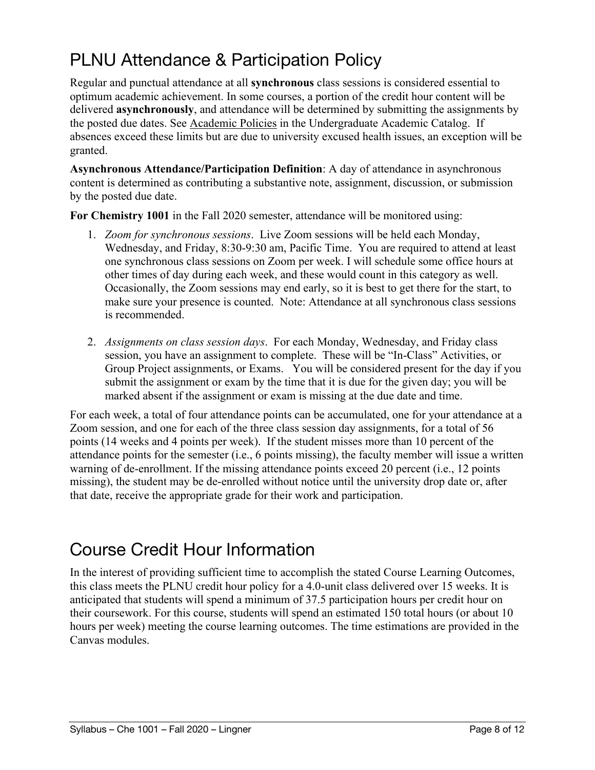# PLNU Attendance & Participation Policy

Regular and punctual attendance at all **synchronous** class sessions is considered essential to optimum academic achievement. In some courses, a portion of the credit hour content will be delivered **asynchronously**, and attendance will be determined by submitting the assignments by the posted due dates. See Academic Policies in the Undergraduate Academic Catalog. If absences exceed these limits but are due to university excused health issues, an exception will be granted.

**Asynchronous Attendance/Participation Definition**: A day of attendance in asynchronous content is determined as contributing a substantive note, assignment, discussion, or submission by the posted due date.

**For Chemistry 1001** in the Fall 2020 semester, attendance will be monitored using:

- 1. *Zoom for synchronous sessions*. Live Zoom sessions will be held each Monday, Wednesday, and Friday, 8:30-9:30 am, Pacific Time. You are required to attend at least one synchronous class sessions on Zoom per week. I will schedule some office hours at other times of day during each week, and these would count in this category as well. Occasionally, the Zoom sessions may end early, so it is best to get there for the start, to make sure your presence is counted. Note: Attendance at all synchronous class sessions is recommended.
- 2. *Assignments on class session days*. For each Monday, Wednesday, and Friday class session, you have an assignment to complete. These will be "In-Class" Activities, or Group Project assignments, or Exams. You will be considered present for the day if you submit the assignment or exam by the time that it is due for the given day; you will be marked absent if the assignment or exam is missing at the due date and time.

For each week, a total of four attendance points can be accumulated, one for your attendance at a Zoom session, and one for each of the three class session day assignments, for a total of 56 points (14 weeks and 4 points per week). If the student misses more than 10 percent of the attendance points for the semester (i.e., 6 points missing), the faculty member will issue a written warning of de-enrollment. If the missing attendance points exceed 20 percent (i.e., 12 points missing), the student may be de-enrolled without notice until the university drop date or, after that date, receive the appropriate grade for their work and participation.

#### Course Credit Hour Information

In the interest of providing sufficient time to accomplish the stated Course Learning Outcomes, this class meets the PLNU credit hour policy for a 4.0-unit class delivered over 15 weeks. It is anticipated that students will spend a minimum of 37.5 participation hours per credit hour on their coursework. For this course, students will spend an estimated 150 total hours (or about 10 hours per week) meeting the course learning outcomes. The time estimations are provided in the Canvas modules.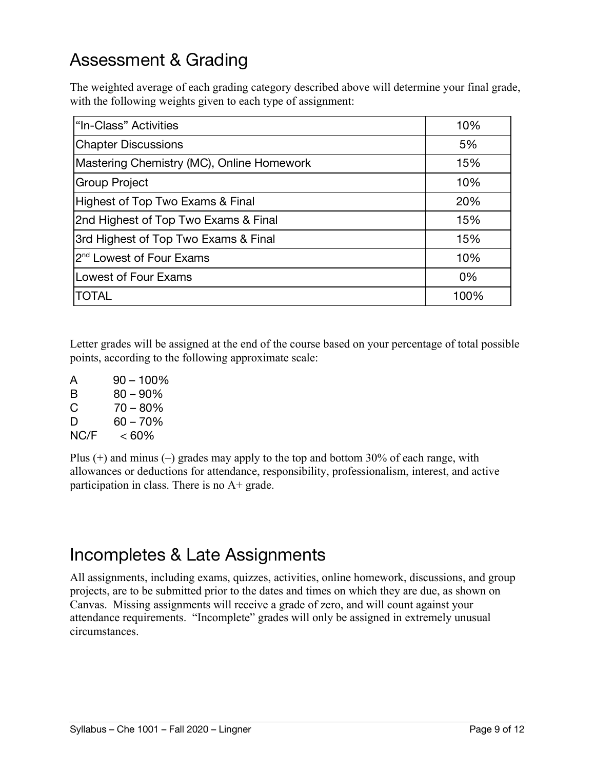## Assessment & Grading

The weighted average of each grading category described above will determine your final grade, with the following weights given to each type of assignment:

| "In-Class" Activities                     | 10%  |
|-------------------------------------------|------|
| <b>Chapter Discussions</b>                | 5%   |
| Mastering Chemistry (MC), Online Homework | 15%  |
| Group Project                             | 10%  |
| Highest of Top Two Exams & Final          | 20%  |
| 2nd Highest of Top Two Exams & Final      | 15%  |
| 3rd Highest of Top Two Exams & Final      | 15%  |
| 2 <sup>nd</sup> Lowest of Four Exams      | 10%  |
| Lowest of Four Exams                      | 0%   |
| ITOTAL                                    | 100% |

Letter grades will be assigned at the end of the course based on your percentage of total possible points, according to the following approximate scale:

A 90 – 100% B 80 – 90%  $C = 70 - 80\%$  $D = 60 - 70%$  $NC/F \leq 60\%$ 

Plus  $(+)$  and minus  $(-)$  grades may apply to the top and bottom 30% of each range, with allowances or deductions for attendance, responsibility, professionalism, interest, and active participation in class. There is no A+ grade.

#### Incompletes & Late Assignments

All assignments, including exams, quizzes, activities, online homework, discussions, and group projects, are to be submitted prior to the dates and times on which they are due, as shown on Canvas. Missing assignments will receive a grade of zero, and will count against your attendance requirements. "Incomplete" grades will only be assigned in extremely unusual circumstances.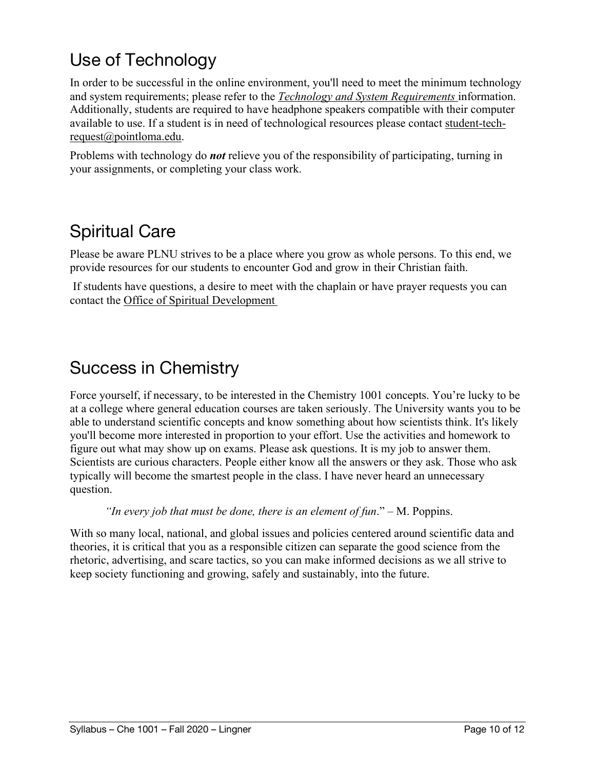# Use of Technology

In order to be successful in the online environment, you'll need to meet the minimum technology and system requirements; please refer to the *Technology and System Requirements* information. Additionally, students are required to have headphone speakers compatible with their computer available to use. If a student is in need of technological resources please contact student-techrequest@pointloma.edu.

Problems with technology do *not* relieve you of the responsibility of participating, turning in your assignments, or completing your class work.

## Spiritual Care

Please be aware PLNU strives to be a place where you grow as whole persons. To this end, we provide resources for our students to encounter God and grow in their Christian faith.

If students have questions, a desire to meet with the chaplain or have prayer requests you can contact the Office of Spiritual Development

#### Success in Chemistry

Force yourself, if necessary, to be interested in the Chemistry 1001 concepts. You're lucky to be at a college where general education courses are taken seriously. The University wants you to be able to understand scientific concepts and know something about how scientists think. It's likely you'll become more interested in proportion to your effort. Use the activities and homework to figure out what may show up on exams. Please ask questions. It is my job to answer them. Scientists are curious characters. People either know all the answers or they ask. Those who ask typically will become the smartest people in the class. I have never heard an unnecessary question.

*"In every job that must be done, there is an element of fun*." – M. Poppins.

With so many local, national, and global issues and policies centered around scientific data and theories, it is critical that you as a responsible citizen can separate the good science from the rhetoric, advertising, and scare tactics, so you can make informed decisions as we all strive to keep society functioning and growing, safely and sustainably, into the future.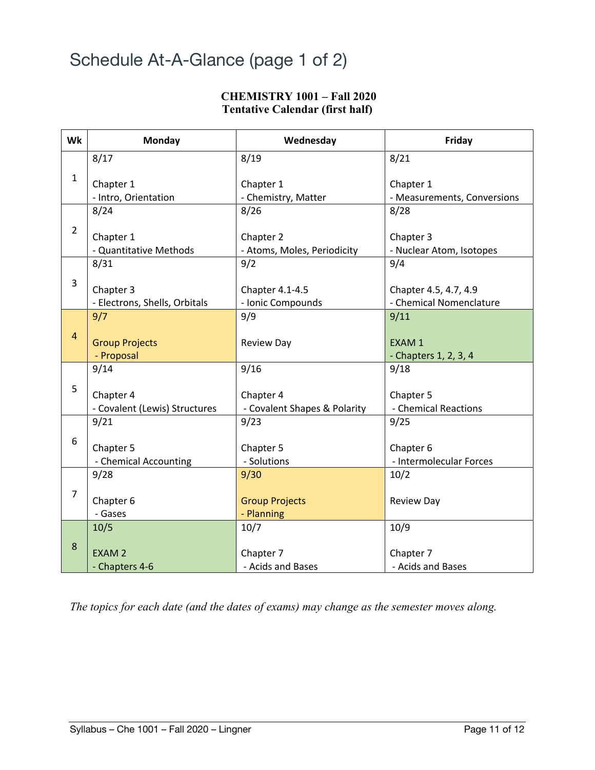### Schedule At-A-Glance (page 1 of 2)

#### **CHEMISTRY 1001 – Fall 2020 Tentative Calendar (first half)**

| Wk             | <b>Monday</b>                              | Wednesday                                 | Friday                                           |
|----------------|--------------------------------------------|-------------------------------------------|--------------------------------------------------|
|                | 8/17                                       | 8/19                                      | 8/21                                             |
| 1              | Chapter 1<br>- Intro, Orientation          | Chapter 1<br>- Chemistry, Matter          | Chapter 1<br>- Measurements, Conversions         |
|                | 8/24                                       | 8/26                                      | 8/28                                             |
| $\overline{2}$ | Chapter 1<br>- Quantitative Methods        | Chapter 2<br>- Atoms, Moles, Periodicity  | Chapter 3<br>- Nuclear Atom, Isotopes            |
|                | 8/31                                       | 9/2                                       | 9/4                                              |
| 3              | Chapter 3<br>- Electrons, Shells, Orbitals | Chapter 4.1-4.5<br>- Ionic Compounds      | Chapter 4.5, 4.7, 4.9<br>- Chemical Nomenclature |
|                | 9/7                                        | 9/9                                       | 9/11                                             |
| $\overline{4}$ | <b>Group Projects</b><br>- Proposal        | <b>Review Day</b>                         | EXAM 1<br>- Chapters 1, 2, 3, 4                  |
|                | 9/14                                       | 9/16                                      | 9/18                                             |
| 5              | Chapter 4<br>- Covalent (Lewis) Structures | Chapter 4<br>- Covalent Shapes & Polarity | Chapter 5<br>- Chemical Reactions                |
|                | 9/21                                       | 9/23                                      | 9/25                                             |
| 6              | Chapter 5<br>- Chemical Accounting         | Chapter 5<br>- Solutions                  | Chapter 6<br>- Intermolecular Forces             |
|                | 9/28                                       | 9/30                                      | 10/2                                             |
| $\overline{7}$ | Chapter 6<br>- Gases                       | <b>Group Projects</b><br>- Planning       | <b>Review Day</b>                                |
|                | 10/5                                       | 10/7                                      | 10/9                                             |
| 8              | <b>EXAM2</b><br>- Chapters 4-6             | Chapter 7<br>- Acids and Bases            | Chapter 7<br>- Acids and Bases                   |

*The topics for each date (and the dates of exams) may change as the semester moves along.*